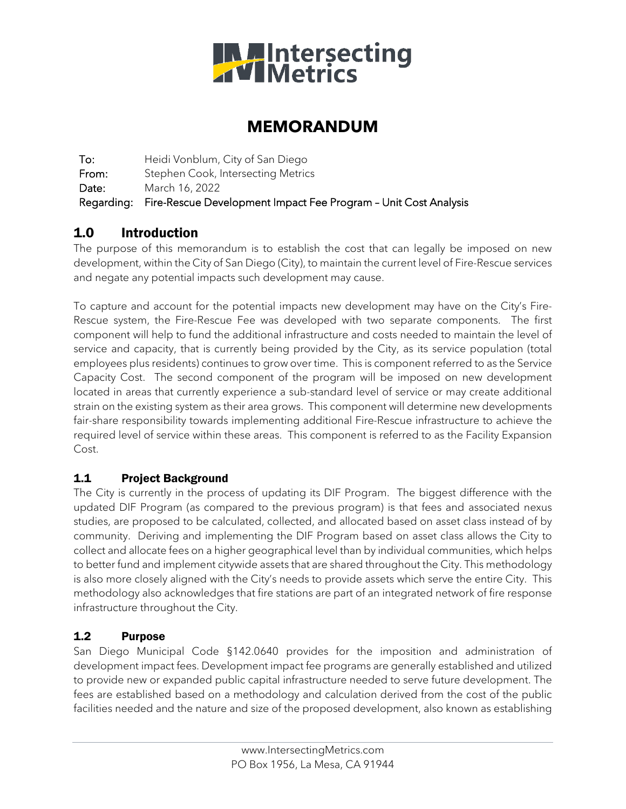

# **MEMORANDUM**

To: Heidi Vonblum, City of San Diego From: Stephen Cook, Intersecting Metrics Date: March 16, 2022 Regarding: Fire-Rescue Development Impact Fee Program – Unit Cost Analysis

## 1.0 Introduction

The purpose of this memorandum is to establish the cost that can legally be imposed on new development, within the City of San Diego (City), to maintain the current level of Fire-Rescue services and negate any potential impacts such development may cause.

To capture and account for the potential impacts new development may have on the City's Fire-Rescue system, the Fire-Rescue Fee was developed with two separate components. The first component will help to fund the additional infrastructure and costs needed to maintain the level of service and capacity, that is currently being provided by the City, as its service population (total employees plus residents) continues to grow over time. This is component referred to as the Service Capacity Cost. The second component of the program will be imposed on new development located in areas that currently experience a sub-standard level of service or may create additional strain on the existing system as their area grows. This component will determine new developments fair-share responsibility towards implementing additional Fire-Rescue infrastructure to achieve the required level of service within these areas. This component is referred to as the Facility Expansion Cost.

## 1.1 Project Background

The City is currently in the process of updating its DIF Program. The biggest difference with the updated DIF Program (as compared to the previous program) is that fees and associated nexus studies, are proposed to be calculated, collected, and allocated based on asset class instead of by community. Deriving and implementing the DIF Program based on asset class allows the City to collect and allocate fees on a higher geographical level than by individual communities, which helps to better fund and implement citywide assets that are shared throughout the City. This methodology is also more closely aligned with the City's needs to provide assets which serve the entire City. This methodology also acknowledges that fire stations are part of an integrated network of fire response infrastructure throughout the City.

## 1.2 Purpose

San Diego Municipal Code §142.0640 provides for the imposition and administration of development impact fees. Development impact fee programs are generally established and utilized to provide new or expanded public capital infrastructure needed to serve future development. The fees are established based on a methodology and calculation derived from the cost of the public facilities needed and the nature and size of the proposed development, also known as establishing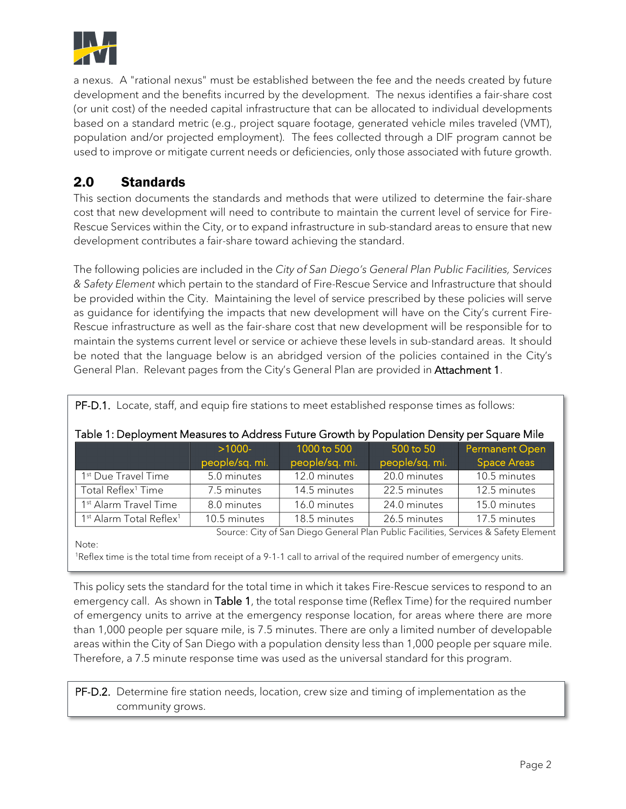

a nexus. A "rational nexus" must be established between the fee and the needs created by future development and the benefits incurred by the development. The nexus identifies a fair-share cost (or unit cost) of the needed capital infrastructure that can be allocated to individual developments based on a standard metric (e.g., project square footage, generated vehicle miles traveled (VMT), population and/or projected employment). The fees collected through a DIF program cannot be used to improve or mitigate current needs or deficiencies, only those associated with future growth.

## 2.0 Standards

This section documents the standards and methods that were utilized to determine the fair-share cost that new development will need to contribute to maintain the current level of service for Fire-Rescue Services within the City, or to expand infrastructure in sub-standard areas to ensure that new development contributes a fair-share toward achieving the standard.

The following policies are included in the *City of San Diego's General Plan Public Facilities, Services & Safety Element* which pertain to the standard of Fire-Rescue Service and Infrastructure that should be provided within the City. Maintaining the level of service prescribed by these policies will serve as guidance for identifying the impacts that new development will have on the City's current Fire-Rescue infrastructure as well as the fair-share cost that new development will be responsible for to maintain the systems current level or service or achieve these levels in sub-standard areas. It should be noted that the language below is an abridged version of the policies contained in the City's General Plan. Relevant pages from the City's General Plan are provided in Attachment 1.

| Table 1: Deployment Measures to Address Future Growth by Population Density per Square Mile |                             |                               |                             |                                             |  |  |  |
|---------------------------------------------------------------------------------------------|-----------------------------|-------------------------------|-----------------------------|---------------------------------------------|--|--|--|
|                                                                                             | $>1000$ -<br>people/sq. mi. | 1000 to 500<br>people/sq. mi. | 500 to 50<br>people/sq. mi. | <b>Permanent Open</b><br><b>Space Areas</b> |  |  |  |
| 1 <sup>st</sup> Due Travel Time                                                             | 5.0 minutes                 | 12.0 minutes                  | 20.0 minutes                | 10.5 minutes                                |  |  |  |
| Total Reflex <sup>1</sup> Time                                                              | 7.5 minutes                 | 14.5 minutes                  | 22.5 minutes                | 12.5 minutes                                |  |  |  |
| 1 <sup>st</sup> Alarm Travel Time                                                           | 8.0 minutes                 | 16.0 minutes                  | 24.0 minutes                | 15.0 minutes                                |  |  |  |
| 1 <sup>st</sup> Alarm Total Reflex <sup>1</sup>                                             | 10.5 minutes                | 18.5 minutes                  | 26.5 minutes                | 17.5 minutes                                |  |  |  |

#### PF-D.1. Locate, staff, and equip fire stations to meet established response times as follows:

Source: City of San Diego General Plan Public Facilities, Services & Safety Element

Note:

1Reflex time is the total time from receipt of a 9-1-1 call to arrival of the required number of emergency units.

This policy sets the standard for the total time in which it takes Fire-Rescue services to respond to an emergency call. As shown in Table 1, the total response time (Reflex Time) for the required number of emergency units to arrive at the emergency response location, for areas where there are more than 1,000 people per square mile, is 7.5 minutes. There are only a limited number of developable areas within the City of San Diego with a population density less than 1,000 people per square mile. Therefore, a 7.5 minute response time was used as the universal standard for this program.

PF-D.2. Determine fire station needs, location, crew size and timing of implementation as the community grows.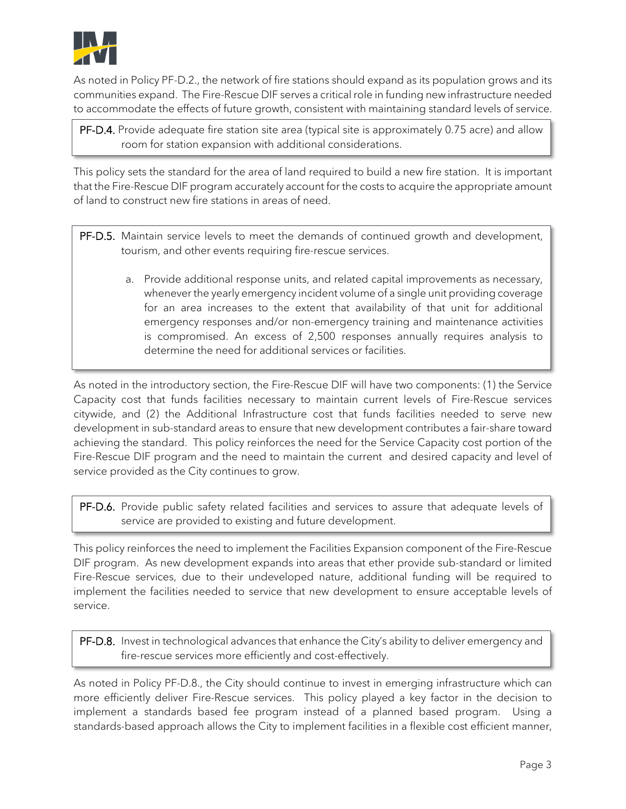

As noted in Policy PF-D.2., the network of fire stations should expand as its population grows and its communities expand. The Fire-Rescue DIF serves a critical role in funding new infrastructure needed to accommodate the effects of future growth, consistent with maintaining standard levels of service.

PF-D.4. Provide adequate fire station site area (typical site is approximately 0.75 acre) and allow room for station expansion with additional considerations.

This policy sets the standard for the area of land required to build a new fire station. It is important that the Fire-Rescue DIF program accurately account for the costs to acquire the appropriate amount of land to construct new fire stations in areas of need.

- PF-D.5. Maintain service levels to meet the demands of continued growth and development, tourism, and other events requiring fire-rescue services.
	- a. Provide additional response units, and related capital improvements as necessary, whenever the yearly emergency incident volume of a single unit providing coverage for an area increases to the extent that availability of that unit for additional emergency responses and/or non-emergency training and maintenance activities is compromised. An excess of 2,500 responses annually requires analysis to determine the need for additional services or facilities.

As noted in the introductory section, the Fire-Rescue DIF will have two components: (1) the Service Capacity cost that funds facilities necessary to maintain current levels of Fire-Rescue services citywide, and (2) the Additional Infrastructure cost that funds facilities needed to serve new development in sub-standard areas to ensure that new development contributes a fair-share toward achieving the standard. This policy reinforces the need for the Service Capacity cost portion of the Fire-Rescue DIF program and the need to maintain the current and desired capacity and level of service provided as the City continues to grow.

PF-D.6. Provide public safety related facilities and services to assure that adequate levels of service are provided to existing and future development.

This policy reinforces the need to implement the Facilities Expansion component of the Fire-Rescue DIF program. As new development expands into areas that ether provide sub-standard or limited Fire-Rescue services, due to their undeveloped nature, additional funding will be required to implement the facilities needed to service that new development to ensure acceptable levels of service.

PF-D.8. Invest in technological advances that enhance the City's ability to deliver emergency and fire-rescue services more efficiently and cost-effectively.

As noted in Policy PF-D.8., the City should continue to invest in emerging infrastructure which can more efficiently deliver Fire-Rescue services. This policy played a key factor in the decision to implement a standards based fee program instead of a planned based program. Using a standards-based approach allows the City to implement facilities in a flexible cost efficient manner,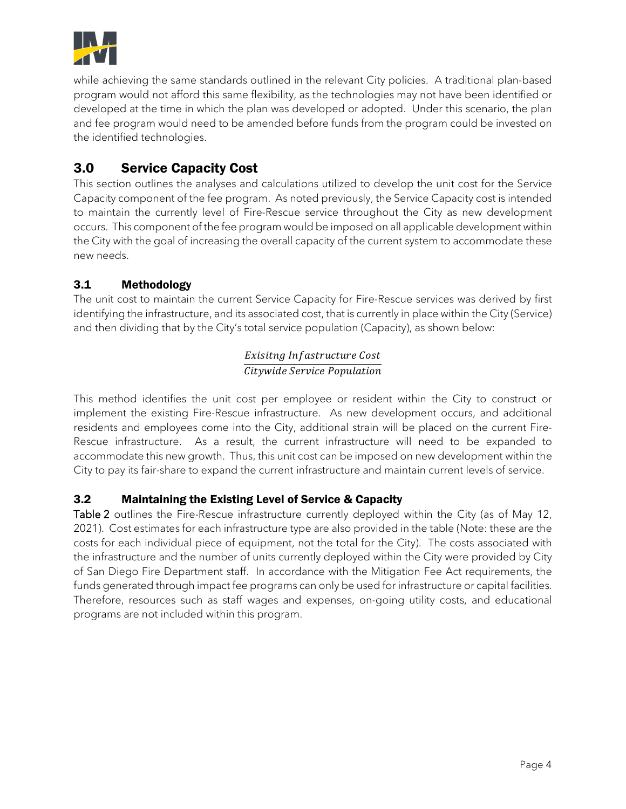

while achieving the same standards outlined in the relevant City policies. A traditional plan-based program would not afford this same flexibility, as the technologies may not have been identified or developed at the time in which the plan was developed or adopted. Under this scenario, the plan and fee program would need to be amended before funds from the program could be invested on the identified technologies.

## 3.0 Service Capacity Cost

This section outlines the analyses and calculations utilized to develop the unit cost for the Service Capacity component of the fee program. As noted previously, the Service Capacity cost is intended to maintain the currently level of Fire-Rescue service throughout the City as new development occurs. This component of the fee program would be imposed on all applicable development within the City with the goal of increasing the overall capacity of the current system to accommodate these new needs.

## 3.1 Methodology

The unit cost to maintain the current Service Capacity for Fire-Rescue services was derived by first identifying the infrastructure, and its associated cost, that is currently in place within the City (Service) and then dividing that by the City's total service population (Capacity), as shown below:

#### Exisitng Infastructure Cost Citywide Service Population

This method identifies the unit cost per employee or resident within the City to construct or implement the existing Fire-Rescue infrastructure. As new development occurs, and additional residents and employees come into the City, additional strain will be placed on the current Fire-Rescue infrastructure. As a result, the current infrastructure will need to be expanded to accommodate this new growth. Thus, this unit cost can be imposed on new development within the City to pay its fair-share to expand the current infrastructure and maintain current levels of service.

## 3.2 Maintaining the Existing Level of Service & Capacity

Table 2 outlines the Fire-Rescue infrastructure currently deployed within the City (as of May 12, 2021). Cost estimates for each infrastructure type are also provided in the table (Note: these are the costs for each individual piece of equipment, not the total for the City). The costs associated with the infrastructure and the number of units currently deployed within the City were provided by City of San Diego Fire Department staff. In accordance with the Mitigation Fee Act requirements, the funds generated through impact fee programs can only be used for infrastructure or capital facilities. Therefore, resources such as staff wages and expenses, on-going utility costs, and educational programs are not included within this program.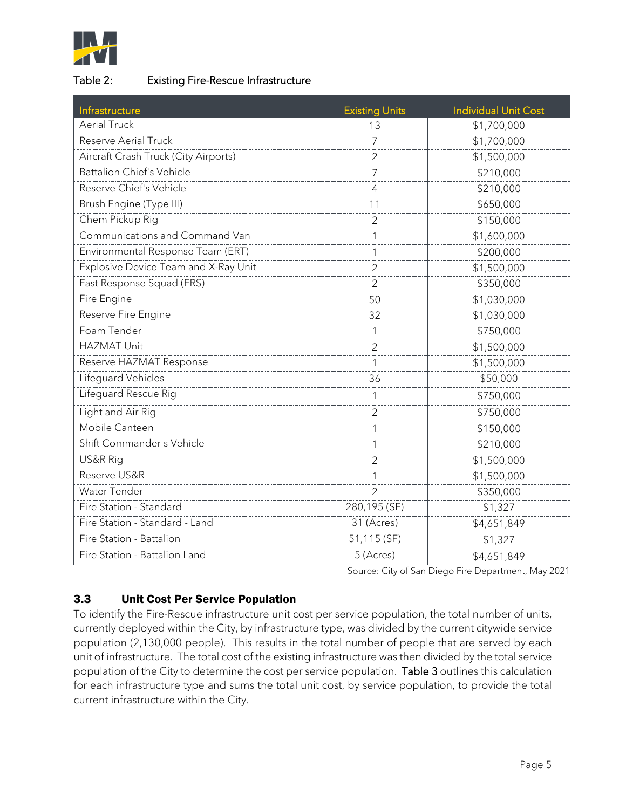

#### Table 2: Existing Fire-Rescue Infrastructure

| Infrastructure                       | <b>Existing Units</b> | <b>Individual Unit Cost</b> |
|--------------------------------------|-----------------------|-----------------------------|
| <b>Aerial Truck</b>                  | 13                    | \$1,700,000                 |
| <b>Reserve Aerial Truck</b>          | 7                     | \$1,700,000                 |
| Aircraft Crash Truck (City Airports) | $\overline{2}$        | \$1,500,000                 |
| <b>Battalion Chief's Vehicle</b>     | 7                     | \$210,000                   |
| Reserve Chief's Vehicle              | 4                     | \$210,000                   |
| Brush Engine (Type III)              | 11                    | \$650,000                   |
| Chem Pickup Rig                      | $\overline{2}$        | \$150,000                   |
| Communications and Command Van       | 1                     | \$1,600,000                 |
| Environmental Response Team (ERT)    | 1                     | \$200,000                   |
| Explosive Device Team and X-Ray Unit | 2                     | \$1,500,000                 |
| Fast Response Squad (FRS)            | $\overline{2}$        | \$350,000                   |
| Fire Engine                          | 50                    | \$1,030,000                 |
| Reserve Fire Engine                  | 32                    | \$1,030,000                 |
| Foam Tender                          | 1                     | \$750,000                   |
| <b>HAZMAT Unit</b>                   | 2                     | \$1,500,000                 |
| Reserve HAZMAT Response              |                       | \$1,500,000                 |
| Lifeguard Vehicles                   | 36                    | \$50,000                    |
| Lifeguard Rescue Rig                 | 1                     | \$750,000                   |
| Light and Air Rig                    | 2                     | \$750,000                   |
| Mobile Canteen                       | 1                     | \$150,000                   |
| Shift Commander's Vehicle            | 1                     | \$210,000                   |
| US&R Rig                             | 2                     | \$1,500,000                 |
| Reserve US&R                         | 1                     | \$1,500,000                 |
| Water Tender                         | $\mathfrak{D}$        | \$350,000                   |
| Fire Station - Standard              | 280,195 (SF)          | \$1,327                     |
| Fire Station - Standard - Land       | 31 (Acres)            | \$4,651,849                 |
| Fire Station - Battalion             | 51,115 (SF)           | \$1,327                     |
| Fire Station - Battalion Land        | 5 (Acres)             | \$4,651,849                 |

Source: City of San Diego Fire Department, May 2021

## 3.3 Unit Cost Per Service Population

To identify the Fire-Rescue infrastructure unit cost per service population, the total number of units, currently deployed within the City, by infrastructure type, was divided by the current citywide service population (2,130,000 people). This results in the total number of people that are served by each unit of infrastructure. The total cost of the existing infrastructure was then divided by the total service population of the City to determine the cost per service population. Table 3 outlines this calculation for each infrastructure type and sums the total unit cost, by service population, to provide the total current infrastructure within the City.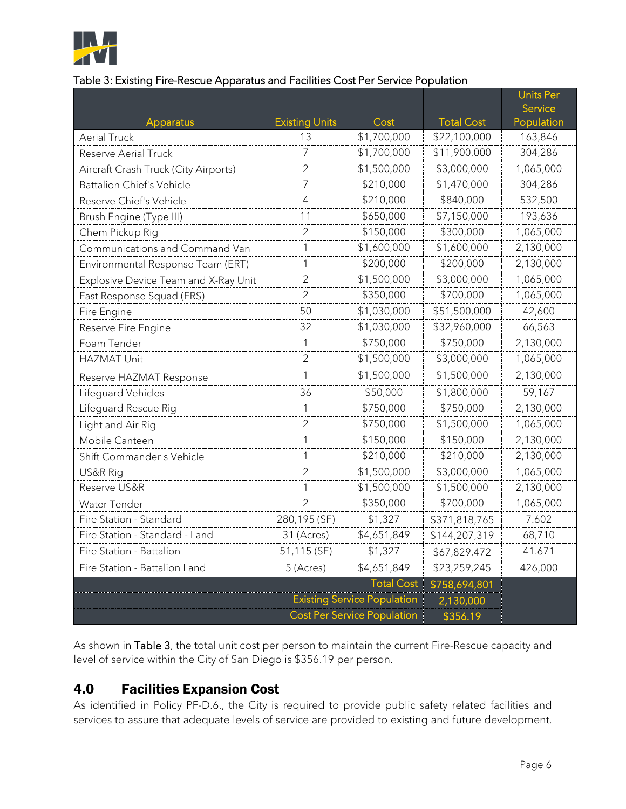

#### Table 3: Existing Fire-Rescue Apparatus and Facilities Cost Per Service Population

|                                      |                                    |                   |                   | <b>Units Per</b> |
|--------------------------------------|------------------------------------|-------------------|-------------------|------------------|
|                                      |                                    |                   |                   | Service          |
| Apparatus                            | <b>Existing Units</b>              | Cost              | <b>Total Cost</b> | Population       |
| <b>Aerial Truck</b>                  | 13                                 | \$1,700,000       | \$22,100,000      | 163,846          |
| <b>Reserve Aerial Truck</b>          | 7                                  | \$1,700,000       | \$11,900,000      | 304,286          |
| Aircraft Crash Truck (City Airports) | 2                                  | \$1,500,000       | \$3,000,000       | 1,065,000        |
| <b>Battalion Chief's Vehicle</b>     | 7                                  | \$210,000         | \$1,470,000       | 304,286          |
| Reserve Chief's Vehicle              | 4                                  | \$210,000         | \$840,000         | 532,500          |
| Brush Engine (Type III)              | 11                                 | \$650,000         | \$7,150,000       | 193,636          |
| Chem Pickup Rig                      | 2                                  | \$150,000         | \$300,000         | 1,065,000        |
| Communications and Command Van       | 1                                  | \$1,600,000       | \$1,600,000       | 2,130,000        |
| Environmental Response Team (ERT)    | 1                                  | \$200,000         | \$200,000         | 2,130,000        |
| Explosive Device Team and X-Ray Unit | 2                                  | \$1,500,000       | \$3,000,000       | 1,065,000        |
| Fast Response Squad (FRS)            | 2                                  | \$350,000         | \$700,000         | 1,065,000        |
| Fire Engine                          | 50                                 | \$1,030,000       | \$51,500,000      | 42,600           |
| Reserve Fire Engine                  | 32                                 | \$1,030,000       | \$32,960,000      | 66,563           |
| Foam Tender                          | 1                                  | \$750,000         | \$750,000         | 2,130,000        |
| <b>HAZMAT Unit</b>                   | $\overline{2}$                     | \$1,500,000       | \$3,000,000       | 1,065,000        |
| Reserve HAZMAT Response              | 1                                  | \$1,500,000       | \$1,500,000       | 2,130,000        |
| Lifeguard Vehicles                   | 36                                 | \$50,000          | \$1,800,000       | 59,167           |
| Lifeguard Rescue Rig                 | 1                                  | \$750,000         | \$750,000         | 2,130,000        |
| Light and Air Rig                    | 2                                  | \$750,000         | \$1,500,000       | 1,065,000        |
| Mobile Canteen                       | 1                                  | \$150,000         | \$150,000         | 2,130,000        |
| Shift Commander's Vehicle            | 1                                  | \$210,000         | \$210,000         | 2,130,000        |
| US&R Rig                             | $\overline{2}$                     | \$1,500,000       | \$3,000,000       | 1,065,000        |
| Reserve US&R                         | 1                                  | \$1,500,000       | \$1,500,000       | 2,130,000        |
| Water Tender                         | 2                                  | \$350,000         | \$700,000         | 1,065,000        |
| Fire Station - Standard              | 280,195 (SF)                       | \$1,327           | \$371,818,765     | 7.602            |
| Fire Station - Standard - Land       | 31 (Acres)                         | \$4,651,849       | \$144,207,319     | 68,710           |
| Fire Station - Battalion             | 51,115 (SF)                        | \$1,327           | \$67,829,472      | 41.671           |
| Fire Station - Battalion Land        | 5 (Acres)                          | \$4,651,849       | \$23,259,245      | 426,000          |
|                                      |                                    | <b>Total Cost</b> | \$758,694,801     |                  |
|                                      | <b>Existing Service Population</b> |                   | 2,130,000         |                  |
|                                      | <b>Cost Per Service Population</b> |                   | \$356.19          |                  |

As shown in Table 3, the total unit cost per person to maintain the current Fire-Rescue capacity and level of service within the City of San Diego is \$356.19 per person.

## 4.0 Facilities Expansion Cost

As identified in Policy PF-D.6., the City is required to provide public safety related facilities and services to assure that adequate levels of service are provided to existing and future development.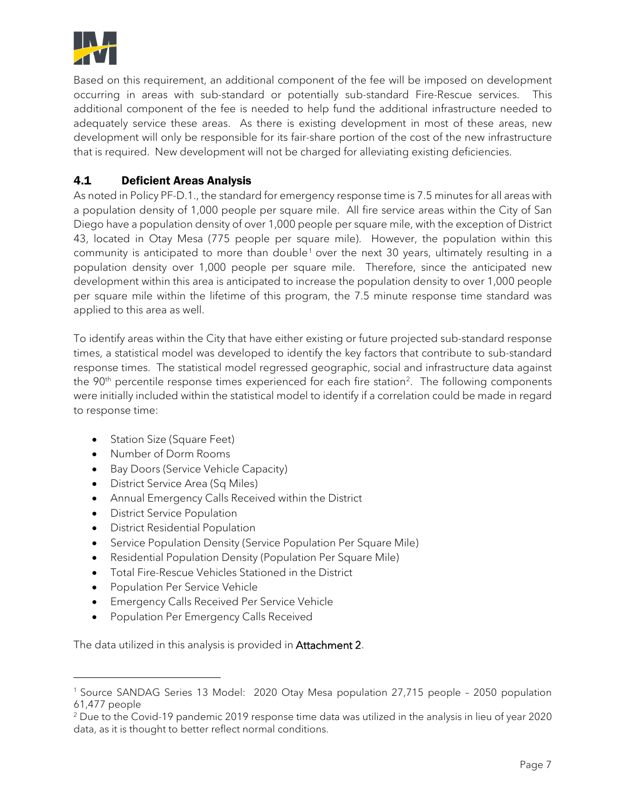

Based on this requirement, an additional component of the fee will be imposed on development occurring in areas with sub-standard or potentially sub-standard Fire-Rescue services. This additional component of the fee is needed to help fund the additional infrastructure needed to adequately service these areas. As there is existing development in most of these areas, new development will only be responsible for its fair-share portion of the cost of the new infrastructure that is required. New development will not be charged for alleviating existing deficiencies.

## 4.1 Deficient Areas Analysis

As noted in Policy PF-D.1., the standard for emergency response time is 7.5 minutes for all areas with a population density of 1,000 people per square mile. All fire service areas within the City of San Diego have a population density of over 1,000 people per square mile, with the exception of District 43, located in Otay Mesa (775 people per square mile). However, the population within this community is anticipated to more than double<sup>[1](#page-6-0)</sup> over the next 30 years, ultimately resulting in a population density over 1,000 people per square mile. Therefore, since the anticipated new development within this area is anticipated to increase the population density to over 1,000 people per square mile within the lifetime of this program, the 7.5 minute response time standard was applied to this area as well.

To identify areas within the City that have either existing or future projected sub-standard response times, a statistical model was developed to identify the key factors that contribute to sub-standard response times. The statistical model regressed geographic, social and infrastructure data against the 90<sup>th</sup> percentile response times experienced for each fire station<sup>[2](#page-6-1)</sup>. The following components were initially included within the statistical model to identify if a correlation could be made in regard to response time:

- Station Size (Square Feet)
- Number of Dorm Rooms
- Bay Doors (Service Vehicle Capacity)
- District Service Area (Sq Miles)
- Annual Emergency Calls Received within the District
- District Service Population
- District Residential Population
- Service Population Density (Service Population Per Square Mile)
- Residential Population Density (Population Per Square Mile)
- Total Fire-Rescue Vehicles Stationed in the District
- Population Per Service Vehicle
- Emergency Calls Received Per Service Vehicle
- Population Per Emergency Calls Received

The data utilized in this analysis is provided in Attachment 2.

<span id="page-6-0"></span><sup>1</sup> Source SANDAG Series 13 Model: 2020 Otay Mesa population 27,715 people – 2050 population 61,477 people

<span id="page-6-1"></span><sup>2</sup> Due to the Covid-19 pandemic 2019 response time data was utilized in the analysis in lieu of year 2020 data, as it is thought to better reflect normal conditions.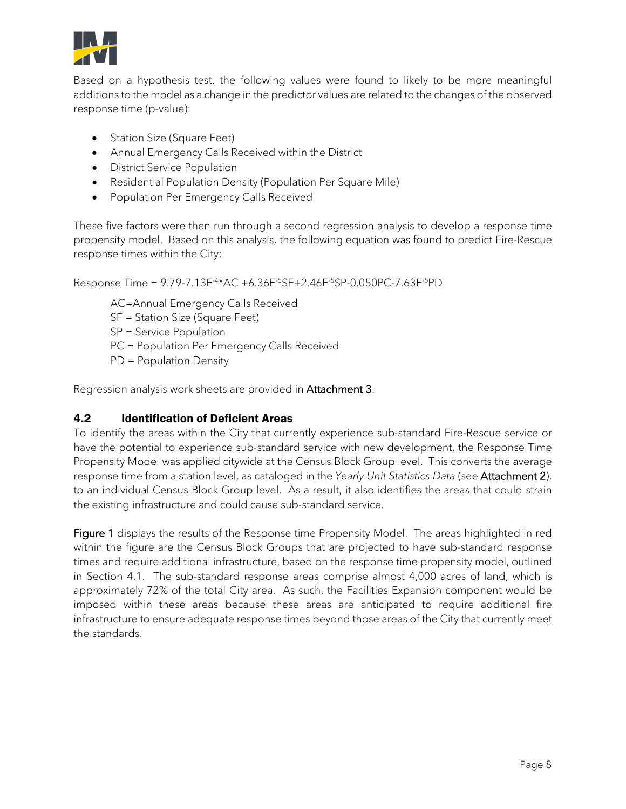

Based on a hypothesis test, the following values were found to likely to be more meaningful additions to the model as a change in the predictor values are related to the changes of the observed response time (p-value):

- Station Size (Square Feet)
- Annual Emergency Calls Received within the District
- District Service Population
- Residential Population Density (Population Per Square Mile)
- Population Per Emergency Calls Received

These five factors were then run through a second regression analysis to develop a response time propensity model. Based on this analysis, the following equation was found to predict Fire-Rescue response times within the City:

Response Time = 9.79-7.13E-4\*AC +6.36E-5SF+2.46E-5SP-0.050PC-7.63E-5PD

AC=Annual Emergency Calls Received

SF = Station Size (Square Feet)

SP = Service Population

PC = Population Per Emergency Calls Received

PD = Population Density

Regression analysis work sheets are provided in Attachment 3.

## 4.2 Identification of Deficient Areas

To identify the areas within the City that currently experience sub-standard Fire-Rescue service or have the potential to experience sub-standard service with new development, the Response Time Propensity Model was applied citywide at the Census Block Group level. This converts the average response time from a station level, as cataloged in the *Yearly Unit Statistics Data* (see Attachment 2), to an individual Census Block Group level. As a result, it also identifies the areas that could strain the existing infrastructure and could cause sub-standard service.

Figure 1 displays the results of the Response time Propensity Model. The areas highlighted in red within the figure are the Census Block Groups that are projected to have sub-standard response times and require additional infrastructure, based on the response time propensity model, outlined in Section 4.1. The sub-standard response areas comprise almost 4,000 acres of land, which is approximately 72% of the total City area. As such, the Facilities Expansion component would be imposed within these areas because these areas are anticipated to require additional fire infrastructure to ensure adequate response times beyond those areas of the City that currently meet the standards.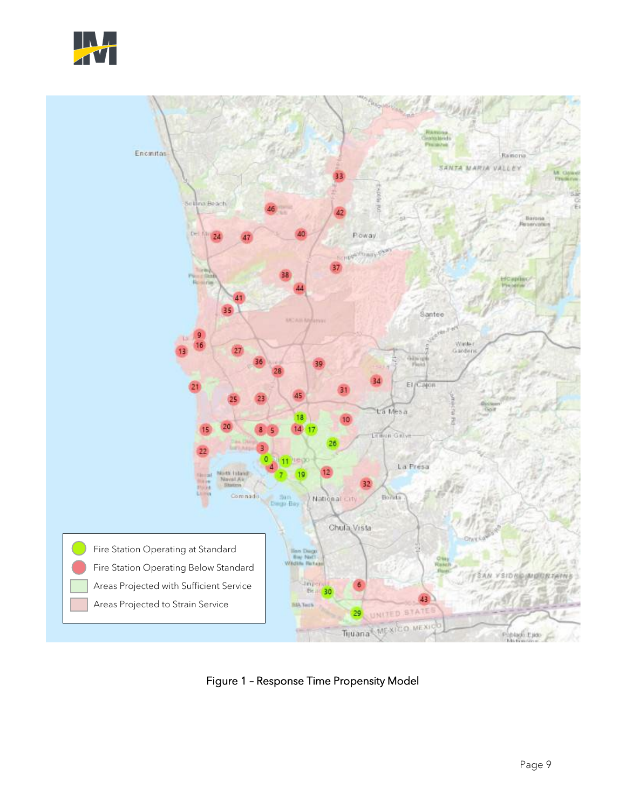



Figure 1 – Response Time Propensity Model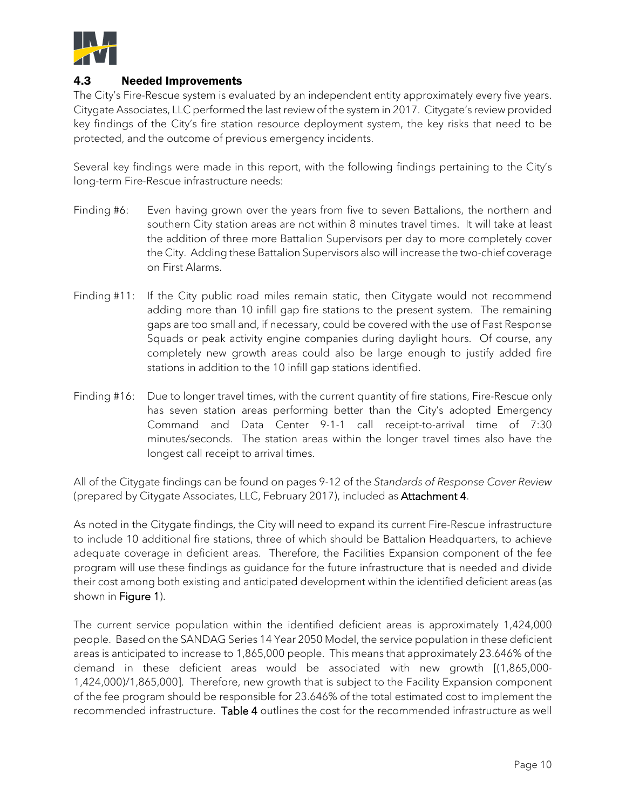

#### 4.3 Needed Improvements

The City's Fire-Rescue system is evaluated by an independent entity approximately every five years. Citygate Associates, LLC performed the last review of the system in 2017. Citygate's review provided key findings of the City's fire station resource deployment system, the key risks that need to be protected, and the outcome of previous emergency incidents.

Several key findings were made in this report, with the following findings pertaining to the City's long-term Fire-Rescue infrastructure needs:

- Finding #6: Even having grown over the years from five to seven Battalions, the northern and southern City station areas are not within 8 minutes travel times. It will take at least the addition of three more Battalion Supervisors per day to more completely cover the City. Adding these Battalion Supervisors also will increase the two-chief coverage on First Alarms.
- Finding #11: If the City public road miles remain static, then Citygate would not recommend adding more than 10 infill gap fire stations to the present system. The remaining gaps are too small and, if necessary, could be covered with the use of Fast Response Squads or peak activity engine companies during daylight hours. Of course, any completely new growth areas could also be large enough to justify added fire stations in addition to the 10 infill gap stations identified.
- Finding #16: Due to longer travel times, with the current quantity of fire stations, Fire-Rescue only has seven station areas performing better than the City's adopted Emergency Command and Data Center 9-1-1 call receipt-to-arrival time of 7:30 minutes/seconds. The station areas within the longer travel times also have the longest call receipt to arrival times.

All of the Citygate findings can be found on pages 9-12 of the *Standards of Response Cover Review* (prepared by Citygate Associates, LLC, February 2017), included as Attachment 4.

As noted in the Citygate findings, the City will need to expand its current Fire-Rescue infrastructure to include 10 additional fire stations, three of which should be Battalion Headquarters, to achieve adequate coverage in deficient areas. Therefore, the Facilities Expansion component of the fee program will use these findings as guidance for the future infrastructure that is needed and divide their cost among both existing and anticipated development within the identified deficient areas (as shown in Figure 1).

The current service population within the identified deficient areas is approximately 1,424,000 people. Based on the SANDAG Series 14 Year 2050 Model, the service population in these deficient areas is anticipated to increase to 1,865,000 people. This means that approximately 23.646% of the demand in these deficient areas would be associated with new growth [(1,865,000- 1,424,000)/1,865,000]. Therefore, new growth that is subject to the Facility Expansion component of the fee program should be responsible for 23.646% of the total estimated cost to implement the recommended infrastructure. Table 4 outlines the cost for the recommended infrastructure as well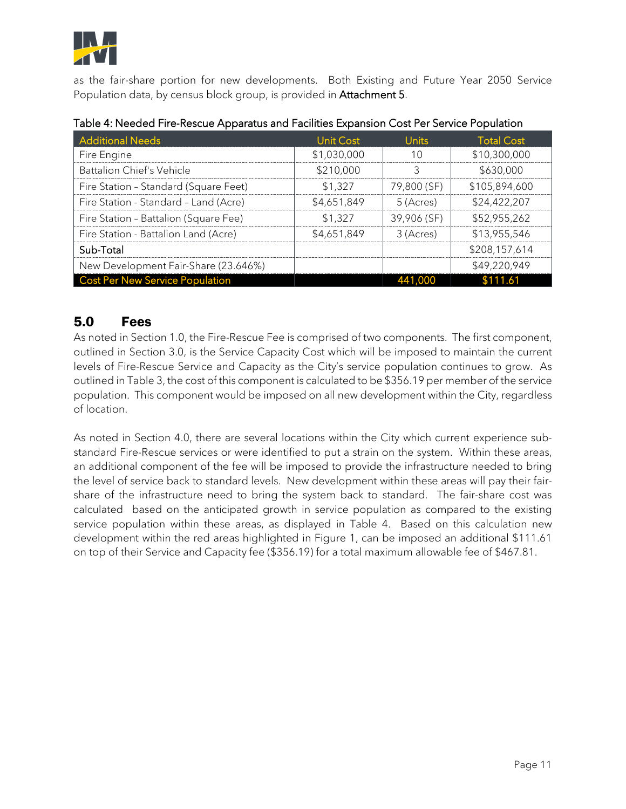

as the fair-share portion for new developments. Both Existing and Future Year 2050 Service Population data, by census block group, is provided in **Attachment 5**.

| <b>Additional Needs</b>                | Unit Cost   | Jnits.      | <b>Total Cost</b> |
|----------------------------------------|-------------|-------------|-------------------|
| Fire Engine                            | \$1,030,000 |             | \$10,300,000      |
| Battalion Chief's Vehicle              | \$210,000   |             | \$630,000         |
| Fire Station - Standard (Square Feet)  | \$1.327     | 79,800 (SF) | \$105,894,600     |
| Fire Station - Standard - Land (Acre)  | \$4,651,849 | 5 (Acres)   | \$24,422,207      |
| Fire Station - Battalion (Square Fee)  | \$1.327     | 39,906 (SF) | \$52,955,262      |
| Fire Station - Battalion Land (Acre)   | \$4,651,849 | 3 (Acres)   | \$13,955,546      |
| Sub-Total                              |             |             | \$208,157,614     |
| New Development Fair-Share (23.646%)   |             |             | \$49,220,949      |
| <b>Cost Per New Service Population</b> |             |             |                   |

#### Table 4: Needed Fire-Rescue Apparatus and Facilities Expansion Cost Per Service Population

## 5.0 Fees

As noted in Section 1.0, the Fire-Rescue Fee is comprised of two components. The first component, outlined in Section 3.0, is the Service Capacity Cost which will be imposed to maintain the current levels of Fire-Rescue Service and Capacity as the City's service population continues to grow. As outlined in Table 3, the cost of this component is calculated to be \$356.19 per member of the service population. This component would be imposed on all new development within the City, regardless of location.

As noted in Section 4.0, there are several locations within the City which current experience substandard Fire-Rescue services or were identified to put a strain on the system. Within these areas, an additional component of the fee will be imposed to provide the infrastructure needed to bring the level of service back to standard levels. New development within these areas will pay their fairshare of the infrastructure need to bring the system back to standard. The fair-share cost was calculated based on the anticipated growth in service population as compared to the existing service population within these areas, as displayed in Table 4. Based on this calculation new development within the red areas highlighted in Figure 1, can be imposed an additional \$111.61 on top of their Service and Capacity fee (\$356.19) for a total maximum allowable fee of \$467.81.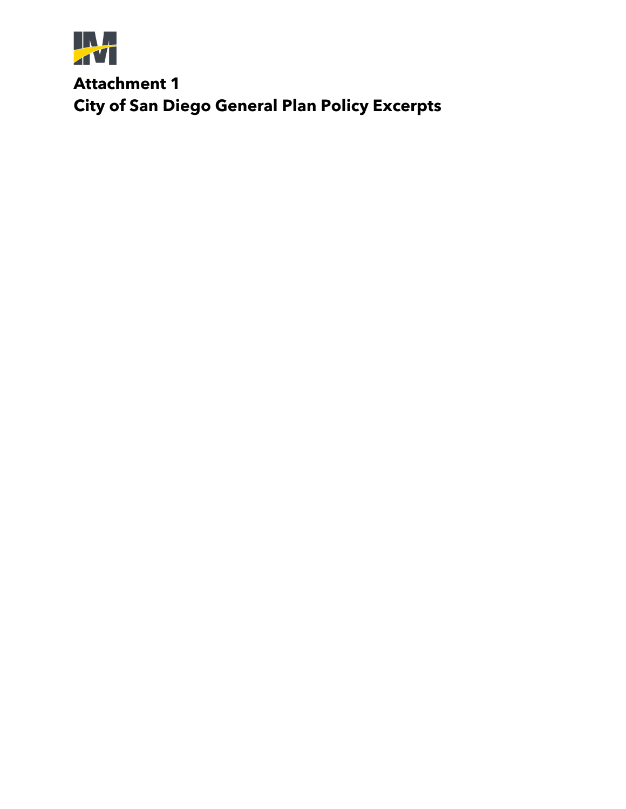

**Attachment 1 City of San Diego General Plan Policy Excerpts**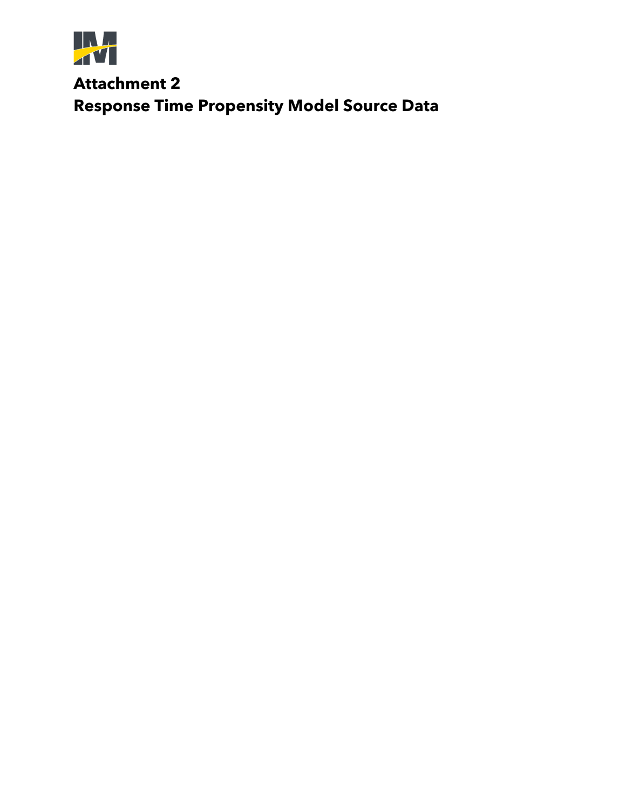

**Attachment 2 Response Time Propensity Model Source Data**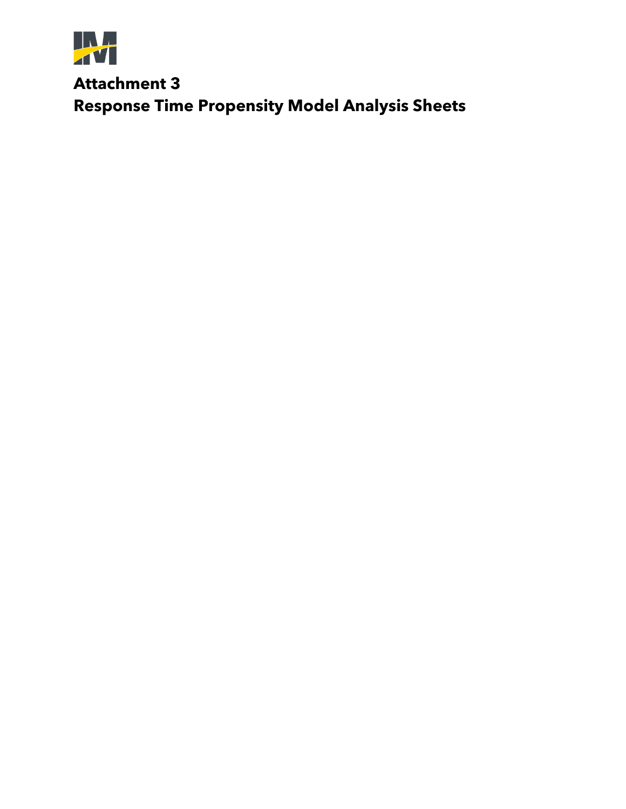

**Attachment 3 Response Time Propensity Model Analysis Sheets**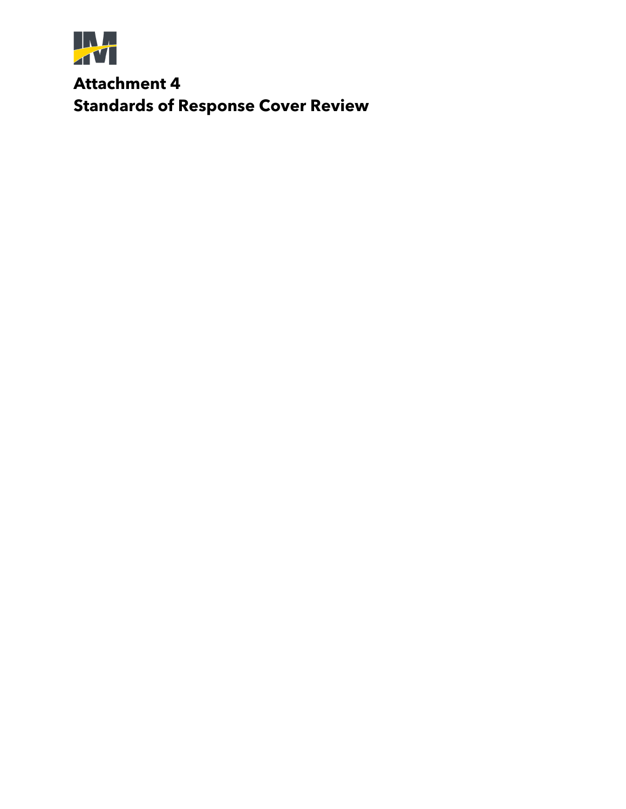

**Attachment 4 Standards of Response Cover Review**